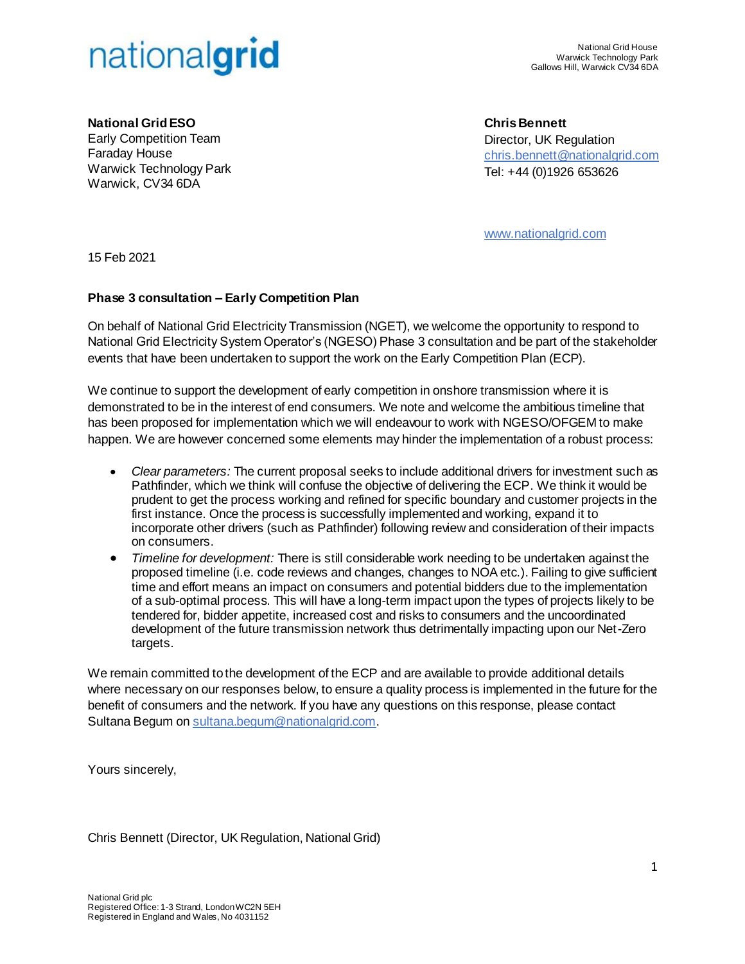

**National Grid ESO** Early Competition Team Faraday House Warwick Technology Park Warwick, CV34 6DA

**Chris Bennett** Director, UK Regulation [chris.bennett@nationalgrid.com](mailto:chris.bennett@nationalgrid.com) Tel: +44 (0)1926 653626

[www.nationalgrid.com](http://www.nationalgrid.com/)

15 Feb 2021

## **Phase 3 consultation – Early Competition Plan**

On behalf of National Grid Electricity Transmission (NGET), we welcome the opportunity to respond to National Grid Electricity System Operator's (NGESO) Phase 3 consultation and be part of the stakeholder events that have been undertaken to support the work on the Early Competition Plan (ECP).

We continue to support the development of early competition in onshore transmission where it is demonstrated to be in the interest of end consumers. We note and welcome the ambitious timeline that has been proposed for implementation which we will endeavour to work with NGESO/OFGEM to make happen. We are however concerned some elements may hinder the implementation of a robust process:

- *Clear parameters:* The current proposal seeks to include additional drivers for investment such as Pathfinder, which we think will confuse the objective of delivering the ECP. We think it would be prudent to get the process working and refined for specific boundary and customer projects in the first instance. Once the process is successfully implemented and working, expand it to incorporate other drivers (such as Pathfinder) following review and consideration of their impacts on consumers.
- *Timeline for development:* There is still considerable work needing to be undertaken against the proposed timeline (i.e. code reviews and changes, changes to NOA etc.). Failing to give sufficient time and effort means an impact on consumers and potential bidders due to the implementation of a sub-optimal process. This will have a long-term impact upon the types of projects likely to be tendered for, bidder appetite, increased cost and risks to consumers and the uncoordinated development of the future transmission network thus detrimentally impacting upon our Net-Zero targets.

We remain committed to the development of the ECP and are available to provide additional details where necessary on our responses below, to ensure a quality process is implemented in the future for the benefit of consumers and the network. If you have any questions on this response, please contact Sultana Begum o[n sultana.begum@nationalgrid.com](mailto:sultana.begum@nationalgrid.com).

Yours sincerely,

Chris Bennett (Director, UK Regulation, National Grid)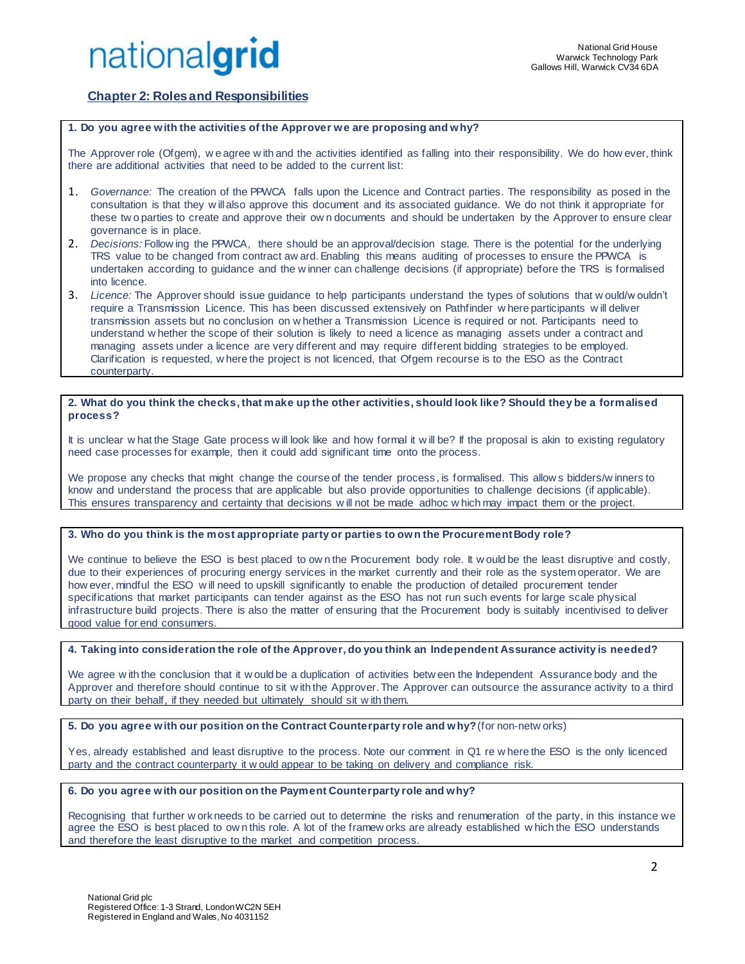

## **Chapter 2: Roles and Responsibilities**

### **1. Do you agree with the activities of the Approver we are proposing and why?**

The Approver role (Ofgem), w e agree w ith and the activities identified as falling into their responsibility. We do how ever, think there are additional activities that need to be added to the current list:

- 1. *Governance:* The creation of the PPWCA falls upon the Licence and Contract parties. The responsibility as posed in the consultation is that they w ill also approve this document and its associated guidance. We do not think it appropriate for these tw o parties to create and approve their ow n documents and should be undertaken by the Approver to ensure clear governance is in place.
- 2. *Decisions:* Follow ing the PPWCA, there should be an approval/decision stage. There is the potential for the underlying TRS value to be changed from contract aw ard. Enabling this means auditing of processes to ensure the PPWCA is undertaken according to guidance and the w inner can challenge decisions (if appropriate) before the TRS is formalised into licence.
- 3. *Licence:* The Approver should issue guidance to help participants understand the types of solutions that w ould/w ouldn't require a Transmission Licence. This has been discussed extensively on Pathfinder w here participants w ill deliver transmission assets but no conclusion on w hether a Transmission Licence is required or not. Participants need to understand w hether the scope of their solution is likely to need a licence as managing assets under a contract and managing assets under a licence are very different and may require different bidding strategies to be employed. Clarification is requested, w here the project is not licenced, that Ofgem recourse is to the ESO as the Contract counterparty.

### **2. What do you think the checks, that make up the other activities, should look like? Should they be a formalised process?**

It is unclear w hat the Stage Gate process will look like and how formal it will be? If the proposal is akin to existing regulatory need case processes for example, then it could add significant time onto the process.

We propose any checks that might change the course of the tender process, is formalised. This allow s bidders/w inners to know and understand the process that are applicable but also provide opportunities to challenge decisions (if applicable). This ensures transparency and certainty that decisions w ill not be made adhoc w hich may impact them or the project.

### **3. Who do you think is the most appropriate party or parties to own the Procurement Body role?**

We continue to believe the ESO is best placed to own the Procurement body role. It w ould be the least disruptive and costly, due to their experiences of procuring energy services in the market currently and their role as the system operator. We are how ever, mindful the ESO will need to upskill significantly to enable the production of detailed procurement tender specifications that market participants can tender against as the ESO has not run such events for large scale physical infrastructure build projects. There is also the matter of ensuring that the Procurement body is suitably incentivised to deliver good value for end consumers.

**4. Taking into consideration the role of the Approver, do you think an Independent Assurance activity is needed?** 

We agree w ith the conclusion that it w ould be a duplication of activities betw een the Independent Assurance body and the Approver and therefore should continue to sit w ith the Approver. The Approver can outsource the assurance activity to a third party on their behalf, if they needed but ultimately should sit w ith them.

**5. Do you agree with our position on the Contract Counterparty role and why?**(for non-netw orks)

Yes, already established and least disruptive to the process. Note our comment in Q1 re w here the ESO is the only licenced party and the contract counterparty it w ould appear to be taking on delivery and compliance risk.

### **6. Do you agree with our position on the Payment Counterparty role and why?**

Recognising that further w ork needs to be carried out to determine the risks and renumeration of the party, in this instance we agree the ESO is best placed to ow n this role. A lot of the framew orks are already established w hich the ESO understands and therefore the least disruptive to the market and competition process.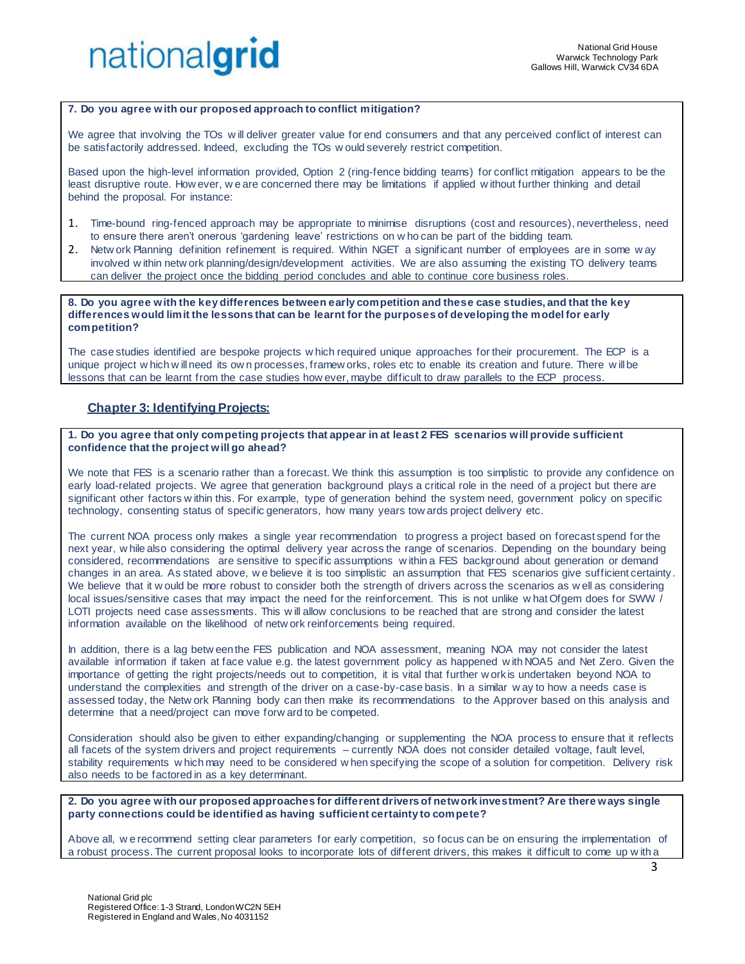

### **7. Do you agree with our proposed approach to conflict mitigation?**

We agree that involving the TOs w ill deliver greater value for end consumers and that any perceived conflict of interest can be satisfactorily addressed. Indeed, excluding the TOs w ould severely restrict competition.

Based upon the high-level information provided, Option 2 (ring-fence bidding teams) for conflict mitigation appears to be the least disruptive route. How ever, w e are concerned there may be limitations if applied w ithout further thinking and detail behind the proposal. For instance:

- 1. Time-bound ring-fenced approach may be appropriate to minimise disruptions (cost and resources), nevertheless, need to ensure there aren't onerous 'gardening leave' restrictions on w ho can be part of the bidding team.
- 2. Netw ork Planning definition refinement is required. Within NGET a significant number of employees are in some w ay involved w ithin netw ork planning/design/development activities. We are also assuming the existing TO delivery teams can deliver the project once the bidding period concludes and able to continue core business roles.

**8. Do you agree with the key differences between early competition and these case studies, and that the key differences would limit the lessons that can be learnt for the purposes of developing the model for early competition?**

The case studies identified are bespoke projects w hich required unique approaches for their procurement. The ECP is a unique project w hich w ill need its ow n processes, framew orks, roles etc to enable its creation and future. There w ill be lessons that can be learnt from the case studies how ever, maybe difficult to draw parallels to the ECP process.

### **Chapter 3: Identifying Projects:**

### **1. Do you agree that only competing projects that appear in at least 2 FES scenarios will provide sufficient confidence that the project will go ahead?**

We note that FES is a scenario rather than a forecast. We think this assumption is too simplistic to provide any confidence on early load-related projects. We agree that generation background plays a critical role in the need of a project but there are significant other factors w ithin this. For example, type of generation behind the system need, government policy on specific technology, consenting status of specific generators, how many years tow ards project delivery etc.

The current NOA process only makes a single year recommendation to progress a project based on forecast spend for the next year, w hile also considering the optimal delivery year across the range of scenarios. Depending on the boundary being considered, recommendations are sensitive to specific assumptions w ithin a FES background about generation or demand changes in an area. As stated above, w e believe it is too simplistic an assumption that FES scenarios give sufficient certainty. We believe that it w ould be more robust to consider both the strength of drivers across the scenarios as w ell as considering local issues/sensitive cases that may impact the need for the reinforcement. This is not unlike w hat Ofgem does for SWW / LOTI projects need case assessments. This w ill allow conclusions to be reached that are strong and consider the latest information available on the likelihood of netw ork reinforcements being required.

In addition, there is a lag betw een the FES publication and NOA assessment, meaning NOA may not consider the latest available information if taken at face value e.g. the latest government policy as happened w ith NOA5 and Net Zero. Given the importance of getting the right projects/needs out to competition, it is vital that further w ork is undertaken beyond NOA to understand the complexities and strength of the driver on a case-by-case basis. In a similar w ay to how a needs case is assessed today, the Netw ork Planning body can then make its recommendations to the Approver based on this analysis and determine that a need/project can move forw ard to be competed.

Consideration should also be given to either expanding/changing or supplementing the NOA process to ensure that it reflects all facets of the system drivers and project requirements – currently NOA does not consider detailed voltage, fault level, stability requirements w hich may need to be considered w hen specifying the scope of a solution for competition. Delivery risk also needs to be factored in as a key determinant.

**2. Do you agree with our proposed approaches for different drivers of network investment? Are there ways single party connections could be identified as having sufficient certainty to compete?**

Above all, w e recommend setting clear parameters for early competition, so focus can be on ensuring the implementation of a robust process. The current proposal looks to incorporate lots of different drivers, this makes it difficult to come up w ith a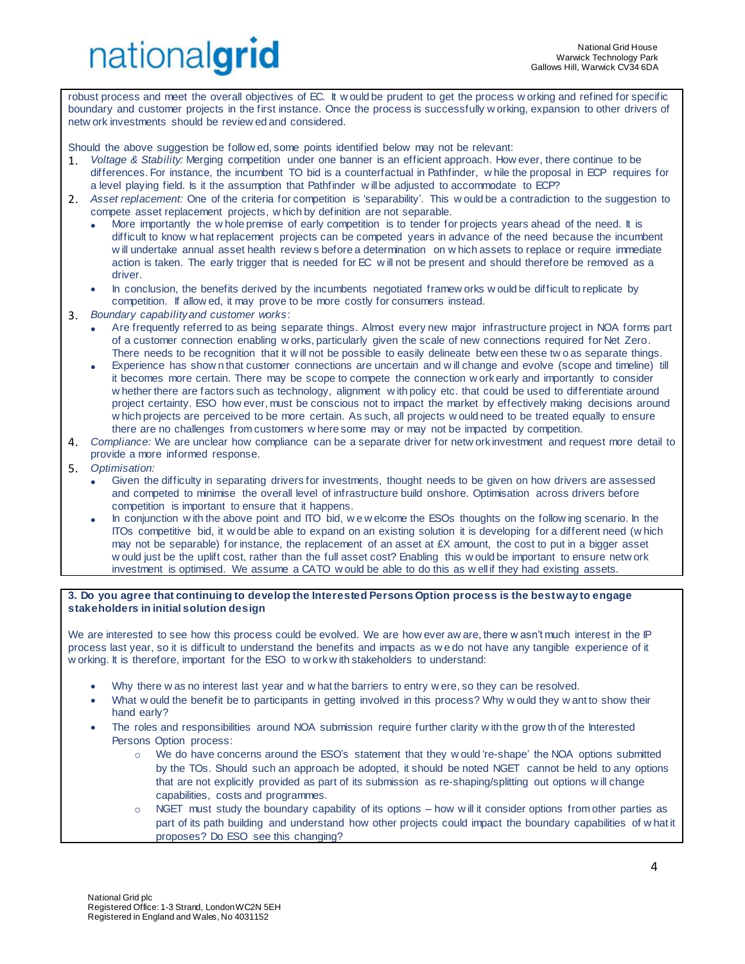robust process and meet the overall objectives of EC. It w ould be prudent to get the process w orking and refined for specific boundary and customer projects in the first instance. Once the process is successfully w orking, expansion to other drivers of netw ork investments should be review ed and considered.

Should the above suggestion be follow ed, some points identified below may not be relevant:

- 1. *Voltage & Stability:* Merging competition under one banner is an efficient approach. How ever, there continue to be differences. For instance, the incumbent TO bid is a counterfactual in Pathfinder, w hile the proposal in ECP requires for a level playing field. Is it the assumption that Pathfinder w ill be adjusted to accommodate to ECP?
- 2. *Asset replacement:* One of the criteria for competition is 'separability'. This w ould be a contradiction to the suggestion to compete asset replacement projects, w hich by definition are not separable.
	- More importantly the w hole premise of early competition is to tender for projects years ahead of the need. It is difficult to know w hat replacement projects can be competed years in advance of the need because the incumbent w ill undertake annual asset health review s before a determination on w hich assets to replace or require immediate action is taken. The early trigger that is needed for EC w ill not be present and should therefore be removed as a driver.
	- In conclusion, the benefits derived by the incumbents negotiated framew orks w ould be difficult to replicate by competition. If allow ed, it may prove to be more costly for consumers instead.
- 3. *Boundary capability and customer works*:
	- Are frequently referred to as being separate things. Almost every new major infrastructure project in NOA forms part of a customer connection enabling w orks, particularly given the scale of new connections required for Net Zero. There needs to be recognition that it will not be possible to easily delineate betw een these two as separate things.
	- Experience has show n that customer connections are uncertain and w ill change and evolve (scope and timeline) till it becomes more certain. There may be scope to compete the connection w ork early and importantly to consider w hether there are factors such as technology, alignment w ith policy etc. that could be used to differentiate around project certainty. ESO how ever, must be conscious not to impact the market by effectively making decisions around w hich projects are perceived to be more certain. As such, all projects w ould need to be treated equally to ensure there are no challenges from customers w here some may or may not be impacted by competition.
- 4. *Compliance:* We are unclear how compliance can be a separate driver for netw ork investment and request more detail to provide a more informed response.
- 5. *Optimisation:*
	- Given the difficulty in separating drivers for investments, thought needs to be given on how drivers are assessed and competed to minimise the overall level of infrastructure build onshore. Optimisation across drivers before competition is important to ensure that it happens.
	- In conjunction w ith the above point and ITO bid, w e w elcome the ESOs thoughts on the follow ing scenario. In the ITOs competitive bid, it w ould be able to expand on an existing solution it is developing for a different need (w hich may not be separable) for instance, the replacement of an asset at £X amount, the cost to put in a bigger asset w ould just be the uplift cost, rather than the full asset cost? Enabling this w ould be important to ensure netw ork investment is optimised. We assume a CATO w ould be able to do this as w ell if they had existing assets.

### **3. Do you agree that continuing to develop the Interested Persons Option process is the best way to engage stakeholders in initial solution design**

We are interested to see how this process could be evolved. We are how ever aw are, there w asn't much interest in the IP process last year, so it is difficult to understand the benefits and impacts as w e do not have any tangible experience of it w orking. It is therefore, important for the ESO to w ork w ith stakeholders to understand:

- Why there w as no interest last year and w hat the barriers to entry w ere, so they can be resolved.
- What w ould the benefit be to participants in getting involved in this process? Why w ould they w ant to show their hand early?
- The roles and responsibilities around NOA submission require further clarity w ith the grow th of the Interested Persons Option process:
	- We do have concerns around the ESO's statement that they w ould 're-shape' the NOA options submitted by the TOs. Should such an approach be adopted, it should be noted NGET cannot be held to any options that are not explicitly provided as part of its submission as re-shaping/splitting out options w ill change capabilities, costs and programmes.
	- $\circ$  NGET must study the boundary capability of its options how w ill it consider options from other parties as part of its path building and understand how other projects could impact the boundary capabilities of w hat it proposes? Do ESO see this changing?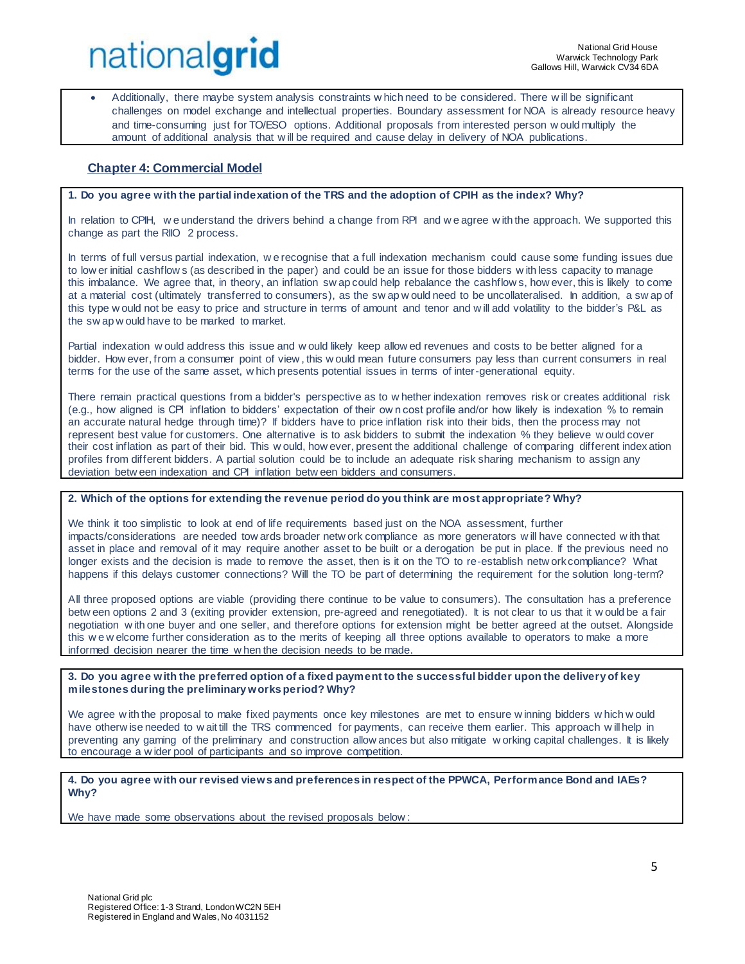• Additionally, there maybe system analysis constraints w hich need to be considered. There w ill be significant challenges on model exchange and intellectual properties. Boundary assessment for NOA is already resource heavy and time-consuming just for TO/ESO options. Additional proposals from interested person w ould multiply the amount of additional analysis that w ill be required and cause delay in delivery of NOA publications.

## **Chapter 4: Commercial Model**

### **1. Do you agree with the partial indexation of the TRS and the adoption of CPIH as the index? Why?**

In relation to CPIH, w e understand the drivers behind a change from RPI and w e agree w ith the approach. We supported this change as part the RIIO 2 process.

In terms of full versus partial indexation, w e recognise that a full indexation mechanism could cause some funding issues due to low er initial cashflow s (as described in the paper) and could be an issue for those bidders w ith less capacity to manage this imbalance. We agree that, in theory, an inflation sw ap could help rebalance the cashflow s, how ever, this is likely to come at a material cost (ultimately transferred to consumers), as the sw ap w ould need to be uncollateralised. In addition, a sw ap of this type w ould not be easy to price and structure in terms of amount and tenor and w ill add volatility to the bidder's P&L as the sw ap w ould have to be marked to market.

Partial indexation w ould address this issue and w ould likely keep allow ed revenues and costs to be better aligned for a bidder. How ever, from a consumer point of view , this w ould mean future consumers pay less than current consumers in real terms for the use of the same asset, w hich presents potential issues in terms of inter-generational equity.

There remain practical questions from a bidder's perspective as to w hether indexation removes risk or creates additional risk (e.g., how aligned is CPI inflation to bidders' expectation of their ow n cost profile and/or how likely is indexation % to remain an accurate natural hedge through time)? If bidders have to price inflation risk into their bids, then the process may not represent best value for customers. One alternative is to ask bidders to submit the indexation % they believe w ould cover their cost inflation as part of their bid. This w ould, how ever, present the additional challenge of comparing different index ation profiles from different bidders. A partial solution could be to include an adequate risk sharing mechanism to assign any deviation betw een indexation and CPI inflation betw een bidders and consumers.

### **2. Which of the options for extending the revenue period do you think are most appropriate? Why?**

We think it too simplistic to look at end of life requirements based just on the NOA assessment, further impacts/considerations are needed tow ards broader netw ork compliance as more generators w ill have connected w ith that asset in place and removal of it may require another asset to be built or a derogation be put in place. If the previous need no longer exists and the decision is made to remove the asset, then is it on the TO to re-establish netw ork compliance? What happens if this delays customer connections? Will the TO be part of determining the requirement for the solution long-term?

All three proposed options are viable (providing there continue to be value to consumers). The consultation has a preference betw een options 2 and 3 (exiting provider extension, pre-agreed and renegotiated). It is not clear to us that it w ould be a fair negotiation w ith one buyer and one seller, and therefore options for extension might be better agreed at the outset. Alongside this w e w elcome further consideration as to the merits of keeping all three options available to operators to make a more informed decision nearer the time w hen the decision needs to be made.

### **3. Do you agree with the preferred option of a fixed payment to the successful bidder upon the delivery of key milestones during the preliminary works period? Why?**

We agree w ith the proposal to make fixed payments once key milestones are met to ensure w inning bidders w hich w ould have otherw ise needed to w ait till the TRS commenced for payments, can receive them earlier. This approach will help in preventing any gaming of the preliminary and construction allow ances but also mitigate w orking capital challenges. It is likely to encourage a w ider pool of participants and so improve competition.

### **4. Do you agree with our revised views and preferences in respect of the PPWCA, Performance Bond and IAEs? Why?**

We have made some observations about the revised proposals below :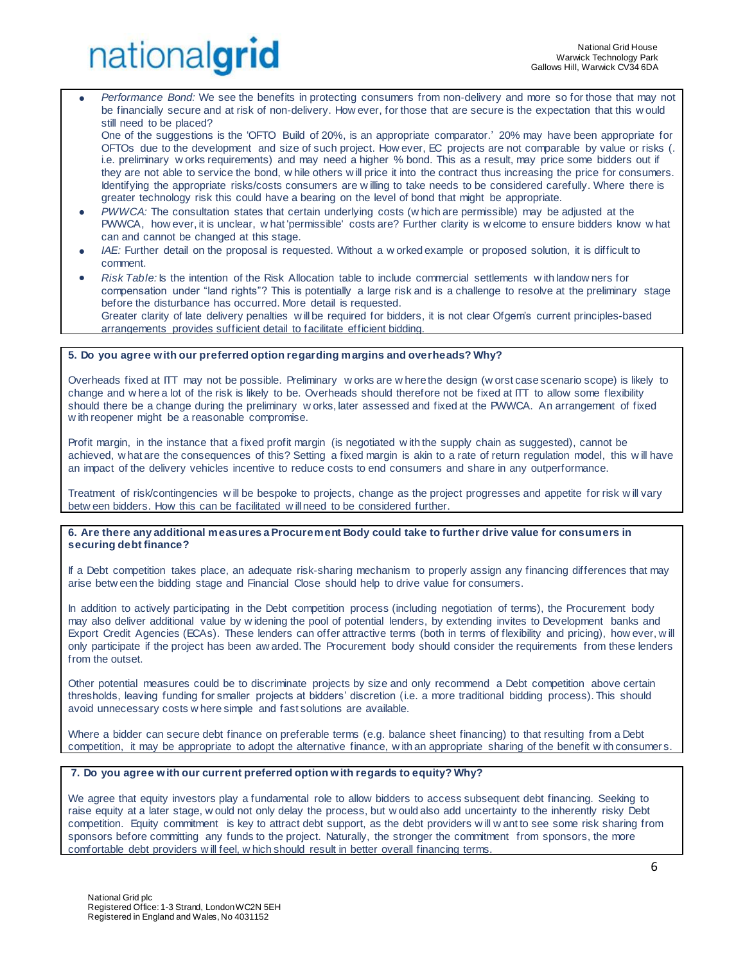• *Performance Bond:* We see the benefits in protecting consumers from non-delivery and more so for those that may not be financially secure and at risk of non-delivery. How ever, for those that are secure is the expectation that this w ould still need to be placed?

One of the suggestions is the 'OFTO Build of 20%, is an appropriate comparator.' 20% may have been appropriate for OFTOs due to the development and size of such project. How ever, EC projects are not comparable by value or risks (. i.e. preliminary w orks requirements) and may need a higher % bond. This as a result, may price some bidders out if they are not able to service the bond, w hile others w ill price it into the contract thus increasing the price for consumers. Identifying the appropriate risks/costs consumers are w illing to take needs to be considered carefully. Where there is greater technology risk this could have a bearing on the level of bond that might be appropriate.

- *PWWCA:* The consultation states that certain underlying costs (w hich are permissible) may be adjusted at the PWWCA, how ever, it is unclear, w hat 'permissible' costs are? Further clarity is w elcome to ensure bidders know w hat can and cannot be changed at this stage.
- *IAE:* Further detail on the proposal is requested. Without a w orked example or proposed solution, it is difficult to comment.
- *Risk Table:* Is the intention of the Risk Allocation table to include commercial settlements w ith landow ners for compensation under "land rights"? This is potentially a large risk and is a challenge to resolve at the preliminary stage before the disturbance has occurred. More detail is requested. Greater clarity of late delivery penalties w ill be required for bidders, it is not clear Ofgem's current principles-based arrangements provides sufficient detail to facilitate efficient bidding.

### **5. Do you agree with our preferred option regarding margins and overheads? Why?**

Overheads fixed at ITT may not be possible. Preliminary w orks are w here the design (w orst case scenario scope) is likely to change and w here a lot of the risk is likely to be. Overheads should therefore not be fixed at ITT to allow some flexibility should there be a change during the preliminary w orks, later assessed and fixed at the PWWCA. An arrangement of fixed w ith reopener might be a reasonable compromise.

Profit margin, in the instance that a fixed profit margin (is negotiated w ith the supply chain as suggested), cannot be achieved, w hat are the consequences of this? Setting a fixed margin is akin to a rate of return regulation model, this w ill have an impact of the delivery vehicles incentive to reduce costs to end consumers and share in any outperformance.

Treatment of risk/contingencies w ill be bespoke to projects, change as the project progresses and appetite for risk w ill vary betw een bidders. How this can be facilitated w ill need to be considered further.

### **6. Are there any additional measures a Procurement Body could take to further drive value for consumers in securing debt finance?**

If a Debt competition takes place, an adequate risk-sharing mechanism to properly assign any financing differences that may arise betw een the bidding stage and Financial Close should help to drive value for consumers.

In addition to actively participating in the Debt competition process (including negotiation of terms), the Procurement body may also deliver additional value by w idening the pool of potential lenders, by extending invites to Development banks and Export Credit Agencies (ECAs). These lenders can offer attractive terms (both in terms of flexibility and pricing), how ever, w ill only participate if the project has been aw arded. The Procurement body should consider the requirements from these lenders from the outset.

Other potential measures could be to discriminate projects by size and only recommend a Debt competition above certain thresholds, leaving funding for smaller projects at bidders' discretion (i.e. a more traditional bidding process). This should avoid unnecessary costs w here simple and fast solutions are available.

Where a bidder can secure debt finance on preferable terms (e.g. balance sheet financing) to that resulting from a Debt competition, it may be appropriate to adopt the alternative finance, w ith an appropriate sharing of the benefit w ith consumer s.

### **7. Do you agree with our current preferred option with regards to equity? Why?**

We agree that equity investors play a fundamental role to allow bidders to access subsequent debt financing. Seeking to raise equity at a later stage, w ould not only delay the process, but w ould also add uncertainty to the inherently risky Debt competition. Equity commitment is key to attract debt support, as the debt providers w ill w ant to see some risk sharing from sponsors before committing any funds to the project. Naturally, the stronger the commitment from sponsors, the more comfortable debt providers w ill feel, w hich should result in better overall financing terms.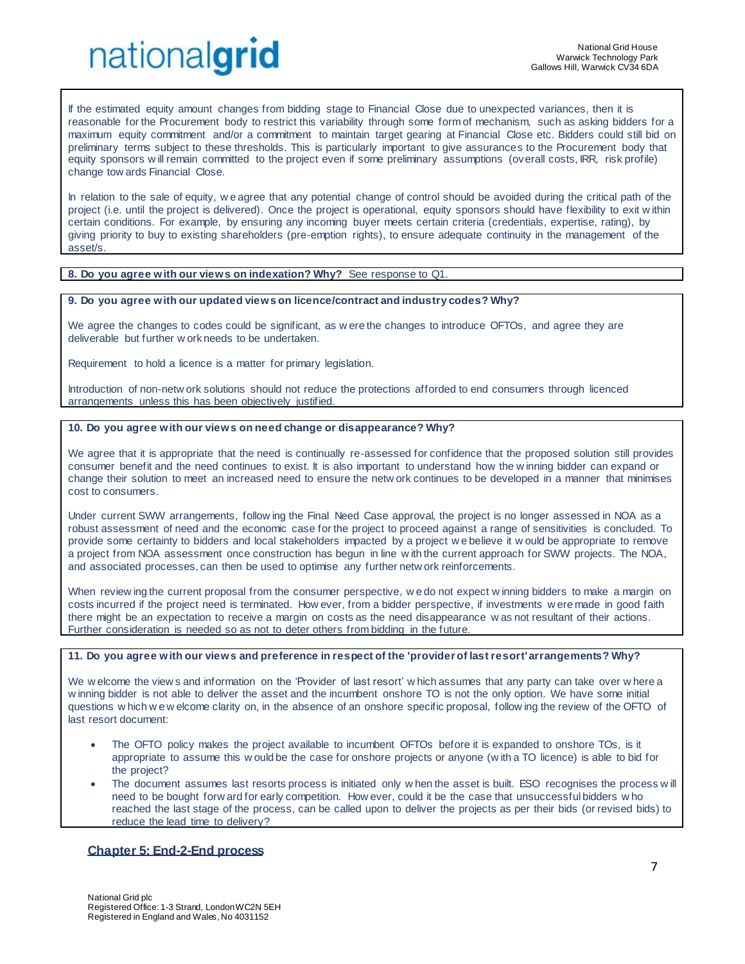If the estimated equity amount changes from bidding stage to Financial Close due to unexpected variances, then it is reasonable for the Procurement body to restrict this variability through some form of mechanism, such as asking bidders for a maximum equity commitment and/or a commitment to maintain target gearing at Financial Close etc. Bidders could still bid on preliminary terms subject to these thresholds. This is particularly important to give assurances to the Procurement body that equity sponsors w ill remain committed to the project even if some preliminary assumptions (overall costs, IRR, risk profile) change tow ards Financial Close.

In relation to the sale of equity, we agree that any potential change of control should be avoided during the critical path of the project (i.e. until the project is delivered). Once the project is operational, equity sponsors should have flexibility to exit w ithin certain conditions. For example, by ensuring any incoming buyer meets certain criteria (credentials, expertise, rating), by giving priority to buy to existing shareholders (pre-emption rights), to ensure adequate continuity in the management of the asset/s.

### **8. Do you agree with our views on indexation? Why?** See response to Q1.

### **9. Do you agree with our updated views on licence/contract and industry codes? Why?**

We agree the changes to codes could be significant, as w ere the changes to introduce OFTOs, and agree they are deliverable but further w ork needs to be undertaken.

Requirement to hold a licence is a matter for primary legislation.

Introduction of non-netw ork solutions should not reduce the protections afforded to end consumers through licenced arrangements unless this has been objectively justified.

### **10. Do you agree with our views on need change or disappearance? Why?**

We agree that it is appropriate that the need is continually re-assessed for confidence that the proposed solution still provides consumer benefit and the need continues to exist. It is also important to understand how the w inning bidder can expand or change their solution to meet an increased need to ensure the netw ork continues to be developed in a manner that minimises cost to consumers.

Under current SWW arrangements, follow ing the Final Need Case approval, the project is no longer assessed in NOA as a robust assessment of need and the economic case for the project to proceed against a range of sensitivities is concluded. To provide some certainty to bidders and local stakeholders impacted by a project w e believe it w ould be appropriate to remove a project from NOA assessment once construction has begun in line w ith the current approach for SWW projects. The NOA, and associated processes, can then be used to optimise any further netw ork reinforcements.

When review ing the current proposal from the consumer perspective, we do not expect w inning bidders to make a margin on costs incurred if the project need is terminated. How ever, from a bidder perspective, if investments w ere made in good faith there might be an expectation to receive a margin on costs as the need disappearance w as not resultant of their actions. Further consideration is needed so as not to deter others from bidding in the future.

### **11. Do you agree with our views and preference in respect of the 'provider of last resort' arrangements? Why?**

We w elcome the view s and information on the 'Provider of last resort' w hich assumes that any party can take over w here a w inning bidder is not able to deliver the asset and the incumbent onshore TO is not the only option. We have some initial questions w hich w e w elcome clarity on, in the absence of an onshore specific proposal, follow ing the review of the OFTO of last resort document:

- The OFTO policy makes the project available to incumbent OFTOs before it is expanded to onshore TOs, is it appropriate to assume this w ould be the case for onshore projects or anyone (w ith a TO licence) is able to bid for the project?
- The document assumes last resorts process is initiated only w hen the asset is built. ESO recognises the process will need to be bought forw ard for early competition. How ever, could it be the case that unsuccessful bidders w ho reached the last stage of the process, can be called upon to deliver the projects as per their bids (or revised bids) to reduce the lead time to delivery?

### **Chapter 5: End-2-End process**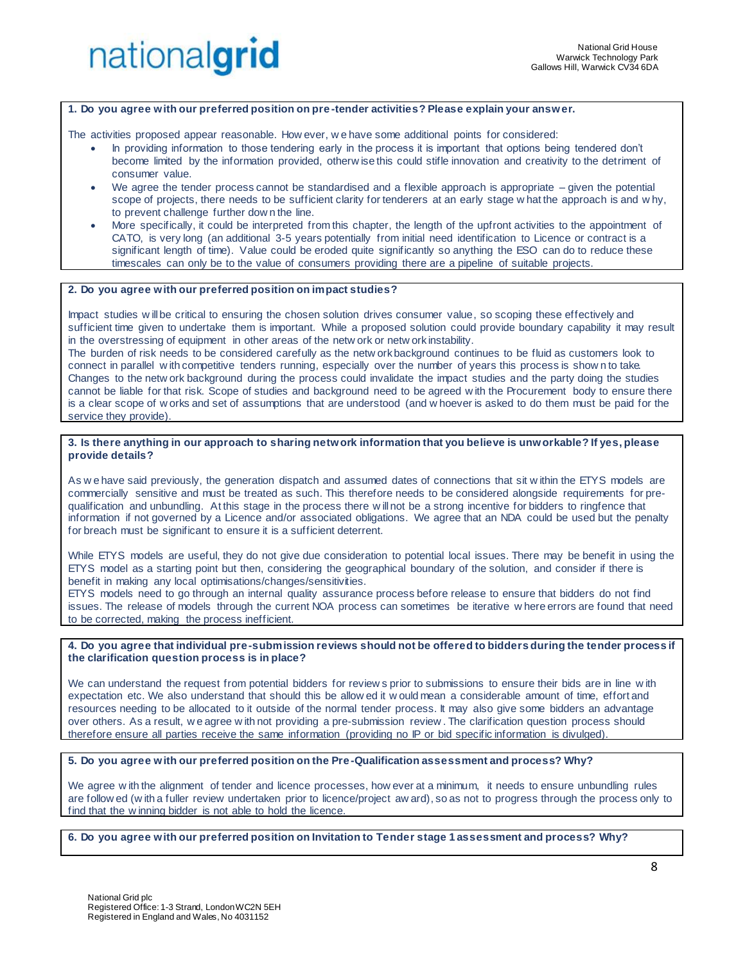### **1. Do you agree with our preferred position on pre -tender activities? Please explain your answer.**

The activities proposed appear reasonable. How ever, w e have some additional points for considered:

- In providing information to those tendering early in the process it is important that options being tendered don't become limited by the information provided, otherw ise this could stifle innovation and creativity to the detriment of consumer value.
- We agree the tender process cannot be standardised and a flexible approach is appropriate given the potential scope of projects, there needs to be sufficient clarity for tenderers at an early stage w hat the approach is and w hy, to prevent challenge further dow n the line.
- More specifically, it could be interpreted from this chapter, the length of the upfront activities to the appointment of CATO, is very long (an additional 3-5 years potentially from initial need identification to Licence or contract is a significant length of time). Value could be eroded quite significantly so anything the ESO can do to reduce these timescales can only be to the value of consumers providing there are a pipeline of suitable projects.

### **2. Do you agree with our preferred position on impact studies?**

Impact studies w ill be critical to ensuring the chosen solution drives consumer value, so scoping these effectively and sufficient time given to undertake them is important. While a proposed solution could provide boundary capability it may result in the overstressing of equipment in other areas of the netw ork or netw ork instability.

The burden of risk needs to be considered carefully as the netw ork background continues to be fluid as customers look to connect in parallel w ith competitive tenders running, especially over the number of years this process is show n to take. Changes to the netw ork background during the process could invalidate the impact studies and the party doing the studies cannot be liable for that risk. Scope of studies and background need to be agreed w ith the Procurement body to ensure there is a clear scope of w orks and set of assumptions that are understood (and w hoever is asked to do them must be paid for the service they provide).

### **3. Is there anything in our approach to sharing network information that you believe is unworkable? If yes, please provide details?**

As w e have said previously, the generation dispatch and assumed dates of connections that sit w ithin the ETYS models are commercially sensitive and must be treated as such. This therefore needs to be considered alongside requirements for prequalification and unbundling. At this stage in the process there w ill not be a strong incentive for bidders to ringfence that information if not governed by a Licence and/or associated obligations. We agree that an NDA could be used but the penalty for breach must be significant to ensure it is a sufficient deterrent.

While ETYS models are useful, they do not give due consideration to potential local issues. There may be benefit in using the ETYS model as a starting point but then, considering the geographical boundary of the solution, and consider if there is benefit in making any local optimisations/changes/sensitivities.

ETYS models need to go through an internal quality assurance process before release to ensure that bidders do not find issues. The release of models through the current NOA process can sometimes be iterative w here errors are found that need to be corrected, making the process inefficient.

### **4. Do you agree that individual pre-submission reviews should not be offered to bidders during the tender process if the clarification question process is in place?**

We can understand the request from potential bidders for review s prior to submissions to ensure their bids are in line w ith expectation etc. We also understand that should this be allow ed it w ould mean a considerable amount of time, effort and resources needing to be allocated to it outside of the normal tender process. It may also give some bidders an advantage over others. As a result, w e agree w ith not providing a pre-submission review . The clarification question process should therefore ensure all parties receive the same information (providing no IP or bid specific information is divulged).

### **5. Do you agree with our preferred position on the Pre-Qualification assessment and process? Why?**

We agree w ith the alignment of tender and licence processes, how ever at a minimum, it needs to ensure unbundling rules are follow ed (w ith a fuller review undertaken prior to licence/project aw ard), so as not to progress through the process only to find that the w inning bidder is not able to hold the licence.

**6. Do you agree with our preferred position on Invitation to Tender stage 1 assessment and process? Why?**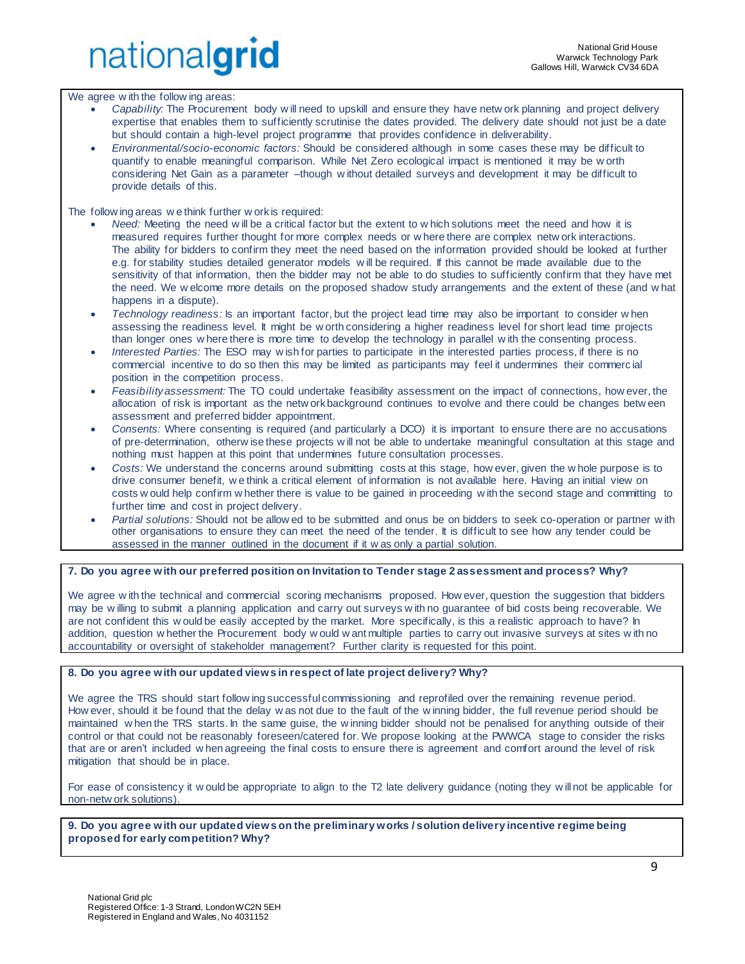We agree w ith the follow ing areas:

- *Capability:* The Procurement body w ill need to upskill and ensure they have netw ork planning and project delivery expertise that enables them to sufficiently scrutinise the dates provided. The delivery date should not just be a date but should contain a high-level project programme that provides confidence in deliverability.
- *Environmental/socio-economic factors:* Should be considered although in some cases these may be difficult to quantify to enable meaningful comparison. While Net Zero ecological impact is mentioned it may be w orth considering Net Gain as a parameter –though w ithout detailed surveys and development it may be difficult to provide details of this.

The follow ing areas w e think further w ork is required:

- *Need:* Meeting the need w ill be a critical factor but the extent to w hich solutions meet the need and how it is measured requires further thought for more complex needs or w here there are complex netw ork interactions. The ability for bidders to confirm they meet the need based on the information provided should be looked at further e.g. for stability studies detailed generator models w ill be required. If this cannot be made available due to the sensitivity of that information, then the bidder may not be able to do studies to sufficiently confirm that they have met the need. We w elcome more details on the proposed shadow study arrangements and the extent of these (and w hat happens in a dispute).
- *Technology readiness:* Is an important factor, but the project lead time may also be important to consider w hen assessing the readiness level. It might be w orth considering a higher readiness level for short lead time projects than longer ones w here there is more time to develop the technology in parallel w ith the consenting process.
- *Interested Parties:* The ESO may w ish for parties to participate in the interested parties process, if there is no commercial incentive to do so then this may be limited as participants may feel it undermines their commerc ial position in the competition process.
- *Feasibility assessment:* The TO could undertake feasibility assessment on the impact of connections, how ever, the allocation of risk is important as the netw ork background continues to evolve and there could be changes betw een assessment and preferred bidder appointment.
- *Consents:* Where consenting is required (and particularly a DCO) it is important to ensure there are no accusations of pre-determination, otherw ise these projects w ill not be able to undertake meaningful consultation at this stage and nothing must happen at this point that undermines future consultation processes.
- *Costs:* We understand the concerns around submitting costs at this stage, how ever, given the w hole purpose is to drive consumer benefit, w e think a critical element of information is not available here. Having an initial view on costs w ould help confirm w hether there is value to be gained in proceeding w ith the second stage and committing to further time and cost in project delivery.
- *Partial solutions:* Should not be allow ed to be submitted and onus be on bidders to seek co-operation or partner w ith other organisations to ensure they can meet the need of the tender. It is difficult to see how any tender could be assessed in the manner outlined in the document if it w as only a partial solution.

### **7. Do you agree with our preferred position on Invitation to Tender stage 2 assessment and process? Why?**

We agree w ith the technical and commercial scoring mechanisms proposed. How ever, question the suggestion that bidders may be w illing to submit a planning application and carry out surveys w ith no guarantee of bid costs being recoverable. We are not confident this w ould be easily accepted by the market. More specifically, is this a realistic approach to have? In addition, question w hether the Procurement body w ould w ant multiple parties to carry out invasive surveys at sites w ith no accountability or oversight of stakeholder management? Further clarity is requested for this point.

### **8. Do you agree with our updated views in respect of late project delivery? Why?**

We agree the TRS should start follow ing successful commissioning and reprofiled over the remaining revenue period. How ever, should it be found that the delay w as not due to the fault of the w inning bidder, the full revenue period should be maintained w hen the TRS starts. In the same guise, the w inning bidder should not be penalised for anything outside of their control or that could not be reasonably foreseen/catered for. We propose looking at the PWWCA stage to consider the risks that are or aren't included w hen agreeing the final costs to ensure there is agreement and comfort around the level of risk mitigation that should be in place.

For ease of consistency it w ould be appropriate to align to the T2 late delivery guidance (noting they w ill not be applicable for non-netw ork solutions).

**9. Do you agree with our updated views on the preliminary works / solution delivery incentive regime being proposed for early competition? Why?**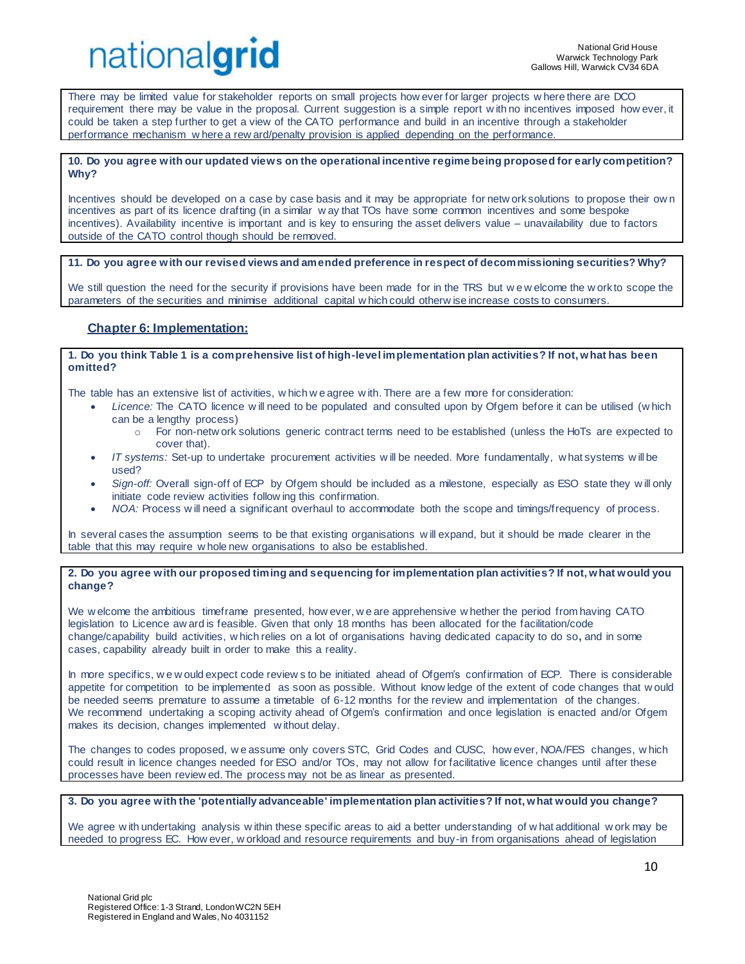There may be limited value for stakeholder reports on small projects how ever for larger projects w here there are DCO requirement there may be value in the proposal. Current suggestion is a simple report w ith no incentives imposed how ever, it could be taken a step further to get a view of the CATO performance and build in an incentive through a stakeholder performance mechanism w here a rew ard/penalty provision is applied depending on the performance.

### **10. Do you agree with our updated views on the operational incentive regime being proposed for early competition? Why?**

Incentives should be developed on a case by case basis and it may be appropriate for netw ork solutions to propose their ow n incentives as part of its licence drafting (in a similar w ay that TOs have some common incentives and some bespoke incentives). Availability incentive is important and is key to ensuring the asset delivers value – unavailability due to factors outside of the CATO control though should be removed.

**11. Do you agree with our revised views and amended preference in respect of decommissioning securities? Why?** 

We still question the need for the security if provisions have been made for in the TRS but we w elcome the w ork to scope the parameters of the securities and minimise additional capital w hich could otherw ise increase costs to consumers.

## **Chapter 6: Implementation:**

### **1. Do you think Table 1 is a comprehensive list of high-level implementation plan activities? If not, what has been omitted?**

The table has an extensive list of activities, w hich w e agree w ith. There are a few more for consideration:

- *Licence:* The CATO licence w ill need to be populated and consulted upon by Ofgem before it can be utilised (w hich can be a lengthy process)
	- o For non-netw ork solutions generic contract terms need to be established (unless the HoTs are expected to cover that).
- *IT systems:* Set-up to undertake procurement activities w ill be needed. More fundamentally, w hat systems w ill be used?
- *Sign-off:* Overall sign-off of ECP by Ofgem should be included as a milestone, especially as ESO state they w ill only initiate code review activities follow ing this confirmation.
- *NOA:* Process w ill need a significant overhaul to accommodate both the scope and timings/frequency of process.

In several cases the assumption seems to be that existing organisations will expand, but it should be made clearer in the table that this may require w hole new organisations to also be established.

### **2. Do you agree with our proposed timing and sequencing for implementation plan activities? If not, what would you change?**

We w elcome the ambitious timeframe presented, how ever, w e are apprehensive w hether the period from having CATO legislation to Licence aw ard is feasible. Given that only 18 months has been allocated for the facilitation/code change/capability build activities, w hich relies on a lot of organisations having dedicated capacity to do so**,** and in some cases, capability already built in order to make this a reality.

In more specifics, w e w ould expect code review s to be initiated ahead of Ofgem's confirmation of ECP. There is considerable appetite for competition to be implemented as soon as possible. Without know ledge of the extent of code changes that w ould be needed seems premature to assume a timetable of 6-12 months for the review and implementation of the changes. We recommend undertaking a scoping activity ahead of Ofgem's confirmation and once legislation is enacted and/or Ofgem makes its decision, changes implemented w ithout delay.

The changes to codes proposed, w e assume only covers STC, Grid Codes and CUSC, how ever, NOA/FES changes, w hich could result in licence changes needed for ESO and/or TOs, may not allow for facilitative licence changes until after these processes have been review ed. The process may not be as linear as presented.

**3. Do you agree with the 'potentially advanceable' implementation plan activities? If not, what would you change?** 

We agree w ith undertaking analysis w ithin these specific areas to aid a better understanding of w hat additional w ork may be needed to progress EC. How ever, w orkload and resource requirements and buy-in from organisations ahead of legislation